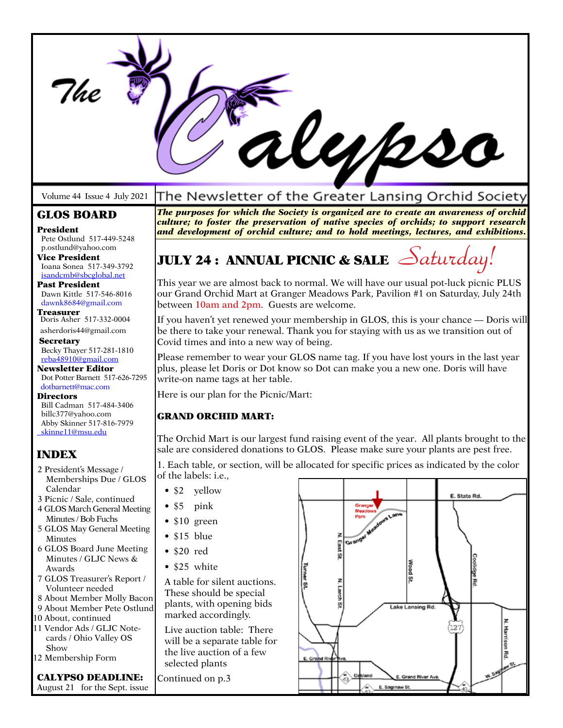|                                                                                                                                                                                                                                                                                                                                                                                                                                                            |                                                                                                                                                                                                                                                                                                                                 | $\boldsymbol{\mathscr{U}}$ ps                                                                                                                                                                                                                                                |  |  |
|------------------------------------------------------------------------------------------------------------------------------------------------------------------------------------------------------------------------------------------------------------------------------------------------------------------------------------------------------------------------------------------------------------------------------------------------------------|---------------------------------------------------------------------------------------------------------------------------------------------------------------------------------------------------------------------------------------------------------------------------------------------------------------------------------|------------------------------------------------------------------------------------------------------------------------------------------------------------------------------------------------------------------------------------------------------------------------------|--|--|
| Volume 44 Issue 4 July 2021                                                                                                                                                                                                                                                                                                                                                                                                                                |                                                                                                                                                                                                                                                                                                                                 | The Newsletter of the Greater Lansing Orchid Society                                                                                                                                                                                                                         |  |  |
| <b>GLOS BOARD</b><br>President<br>Pete Ostlund 517-449-5248                                                                                                                                                                                                                                                                                                                                                                                                | The purposes for which the Society is organized are to create an awareness of orchid<br>culture; to foster the preservation of native species of orchids; to support research<br>and development of orchid culture; and to hold meetings, lectures, and exhibitions.                                                            |                                                                                                                                                                                                                                                                              |  |  |
| p.ostlund@yahoo.com<br>Vice President<br>Ioana Sonea 517-349-3792<br>isandcmb@sbcglobal.net                                                                                                                                                                                                                                                                                                                                                                |                                                                                                                                                                                                                                                                                                                                 | JULY 24: ANNUAL PICNIC & SALE $\Delta$ aturday!                                                                                                                                                                                                                              |  |  |
| <b>Past President</b><br>Dawn Kittle 517-546-8016<br>dawnk8684@gmail.com                                                                                                                                                                                                                                                                                                                                                                                   | between 10am and 2pm. Guests are welcome.                                                                                                                                                                                                                                                                                       | This year we are almost back to normal. We will have our usual pot-luck picnic PLUS<br>our Grand Orchid Mart at Granger Meadows Park, Pavilion #1 on Saturday, July 24th                                                                                                     |  |  |
| Treasurer<br>Doris Asher 517-332-0004<br>asherdoris44@gmail.com<br><b>Secretary</b>                                                                                                                                                                                                                                                                                                                                                                        | If you haven't yet renewed your membership in GLOS, this is your chance — Doris will<br>be there to take your renewal. Thank you for staying with us as we transition out of<br>Covid times and into a new way of being.                                                                                                        |                                                                                                                                                                                                                                                                              |  |  |
| Becky Thayer 517-281-1810<br>reba48910@gmail.com<br><b>Newsletter Editor</b><br>Dot Potter Barnett 517-626-7295<br>dotbarnett@mac.com                                                                                                                                                                                                                                                                                                                      | Please remember to wear your GLOS name tag. If you have lost yours in the last year<br>plus, please let Doris or Dot know so Dot can make you a new one. Doris will have<br>write-on name tags at her table.                                                                                                                    |                                                                                                                                                                                                                                                                              |  |  |
| <b>Directors</b><br>Bill Cadman 517-484-3406<br>billc377@yahoo.com<br>Abby Skinner 517-816-7979<br>skinne11@msu.edu                                                                                                                                                                                                                                                                                                                                        | Here is our plan for the Picnic/Mart:<br><b>GRAND ORCHID MART:</b>                                                                                                                                                                                                                                                              |                                                                                                                                                                                                                                                                              |  |  |
| <b>INDEX</b>                                                                                                                                                                                                                                                                                                                                                                                                                                               |                                                                                                                                                                                                                                                                                                                                 | The Orchid Mart is our largest fund raising event of the year. All plants brought to the<br>sale are considered donations to GLOS. Please make sure your plants are pest free.<br>1. Each table, or section, will be allocated for specific prices as indicated by the color |  |  |
| 2 President's Message /<br>Memberships Due / GLOS<br>Calendar                                                                                                                                                                                                                                                                                                                                                                                              | of the labels: i.e.,<br>yellow<br>\$2<br>$\bullet$                                                                                                                                                                                                                                                                              |                                                                                                                                                                                                                                                                              |  |  |
| 3 Picnic / Sale, continued<br>4 GLOS March General Meeting<br>Minutes / Bob Fuchs<br>5 GLOS May General Meeting<br><b>Minutes</b><br>6 GLOS Board June Meeting<br>Minutes / GLJC News &<br>Awards<br>7 GLOS Treasurer's Report /<br>Volunteer needed<br>8 About Member Molly Bacon<br>9 About Member Pete Ostlund<br>10 About, continued<br>11 Vendor Ads / GLJC Note-<br>cards / Ohio Valley OS<br>Show<br>12 Membership Form<br><b>CALYPSO DEADLINE:</b> | • $$5$<br>pink<br>$\bullet$ \$10 green<br>$\bullet$ \$15 blue<br>$\bullet$ \$20 red<br>• \$25 white<br>A table for silent auctions.<br>These should be special<br>plants, with opening bids<br>marked accordingly.<br>Live auction table: There<br>will be a separate table for<br>the live auction of a few<br>selected plants | E. State Rd.<br>Grange<br>Granger Memore Lame<br>East St<br><b>Vood St</b><br><b>Turner St.</b><br>lidge Rd<br>Larch<br>Lake Lansing Rd.<br>Harrison Rd<br>E. Grand River<br>Oakland<br>E. Grand River Ave                                                                   |  |  |
| August 21 for the Sept. issue                                                                                                                                                                                                                                                                                                                                                                                                                              | Continued on p.3                                                                                                                                                                                                                                                                                                                | E. Saginaw St.                                                                                                                                                                                                                                                               |  |  |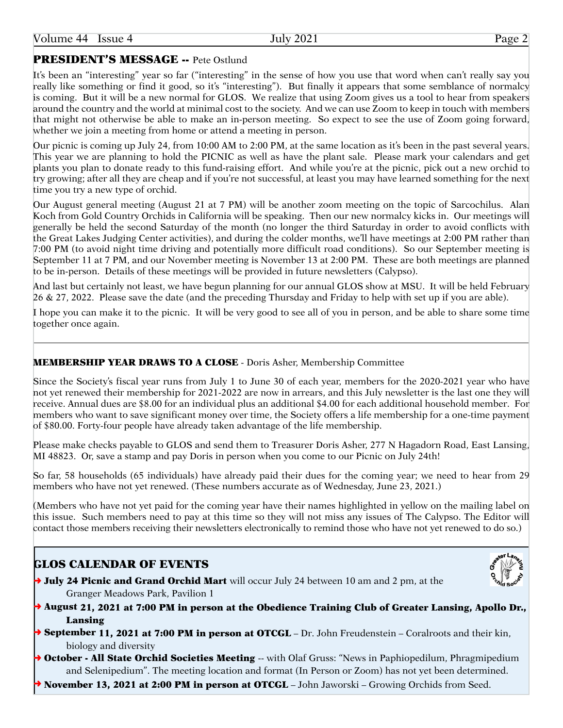# PRESIDENT'S MESSAGE -- Pete Ostlund

It's been an "interesting" year so far ("interesting" in the sense of how you use that word when can't really say you really like something or find it good, so it's "interesting"). But finally it appears that some semblance of normalcy is coming. But it will be a new normal for GLOS. We realize that using Zoom gives us a tool to hear from speakers around the country and the world at minimal cost to the society. And we can use Zoom to keep in touch with members that might not otherwise be able to make an in-person meeting. So expect to see the use of Zoom going forward, whether we join a meeting from home or attend a meeting in person.

Our picnic is coming up July 24, from 10:00 AM to 2:00 PM, at the same location as it's been in the past several years. This year we are planning to hold the PICNIC as well as have the plant sale. Please mark your calendars and get plants you plan to donate ready to this fund-raising effort. And while you're at the picnic, pick out a new orchid to try growing; after all they are cheap and if you're not successful, at least you may have learned something for the next time you try a new type of orchid.

Our August general meeting (August 21 at 7 PM) will be another zoom meeting on the topic of Sarcochilus. Alan Koch from Gold Country Orchids in California will be speaking. Then our new normalcy kicks in. Our meetings will generally be held the second Saturday of the month (no longer the third Saturday in order to avoid conflicts with the Great Lakes Judging Center activities), and during the colder months, we'll have meetings at 2:00 PM rather than 7:00 PM (to avoid night time driving and potentially more difficult road conditions). So our September meeting is September 11 at 7 PM, and our November meeting is November 13 at 2:00 PM. These are both meetings are planned to be in-person. Details of these meetings will be provided in future newsletters (Calypso).

And last but certainly not least, we have begun planning for our annual GLOS show at MSU. It will be held February 26 & 27, 2022. Please save the date (and the preceding Thursday and Friday to help with set up if you are able).

I hope you can make it to the picnic. It will be very good to see all of you in person, and be able to share some time together once again.

### MEMBERSHIP YEAR DRAWS TO A CLOSE - Doris Asher, Membership Committee

Since the Society's fiscal year runs from July 1 to June 30 of each year, members for the 2020-2021 year who have not yet renewed their membership for 2021-2022 are now in arrears, and this July newsletter is the last one they will receive. Annual dues are \$8.00 for an individual plus an additional \$4.00 for each additional household member. For members who want to save significant money over time, the Society offers a life membership for a one-time payment of \$80.00. Forty-four people have already taken advantage of the life membership.

Please make checks payable to GLOS and send them to Treasurer Doris Asher, 277 N Hagadorn Road, East Lansing, MI 48823. Or, save a stamp and pay Doris in person when you come to our Picnic on July 24th!

So far, 58 households (65 individuals) have already paid their dues for the coming year; we need to hear from 29 members who have not yet renewed. (These numbers accurate as of Wednesday, June 23, 2021.)

(Members who have not yet paid for the coming year have their names highlighted in yellow on the mailing label on this issue. Such members need to pay at this time so they will not miss any issues of The Calypso. The Editor will contact those members receiving their newsletters electronically to remind those who have not yet renewed to do so.)

# GLOS CALENDAR OF EVENTS

- $\rightarrow$  July 24 Picnic and Grand Orchid Mart will occur July 24 between 10 am and 2 pm, at the Granger Meadows Park, Pavilion 1
- 
- ➜ August 21, 2021 at 7:00 PM in person at the Obedience Training Club of Greater Lansing, Apollo Dr., Lansing
- → September 11, 2021 at 7:00 PM in person at OTCGL Dr. John Freudenstein Coralroots and their kin, biology and diversity
- ▶ October All State Orchid Societies Meeting -- with Olaf Gruss: "News in Paphiopedilum, Phragmipedium and Selenipedium". The meeting location and format (In Person or Zoom) has not yet been determined.
- November 13, 2021 at 2:00 PM in person at OTCGL John Jaworski Growing Orchids from Seed.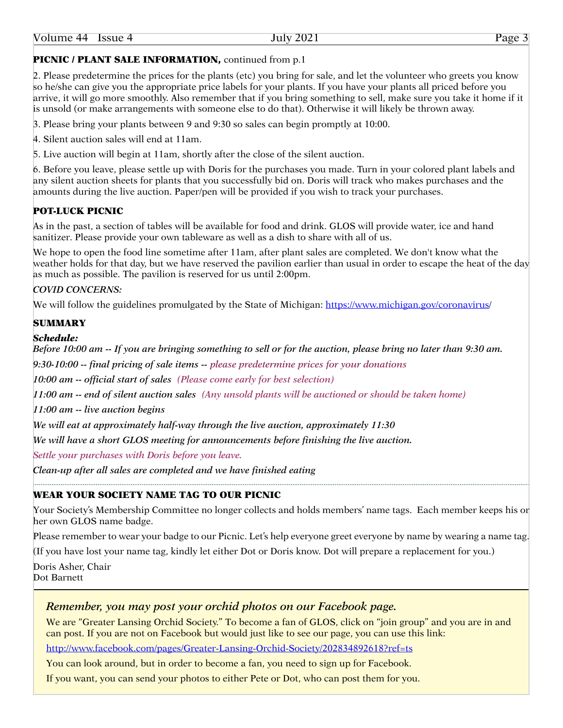| Volume 44 | Issue 4 | <b>July 2021</b> | Page |
|-----------|---------|------------------|------|

### PICNIC / PLANT SALE INFORMATION, continued from p.1

2. Please predetermine the prices for the plants (etc) you bring for sale, and let the volunteer who greets you know so he/she can give you the appropriate price labels for your plants. If you have your plants all priced before you arrive, it will go more smoothly. Also remember that if you bring something to sell, make sure you take it home if it is unsold (or make arrangements with someone else to do that). Otherwise it will likely be thrown away.

3. Please bring your plants between 9 and 9:30 so sales can begin promptly at 10:00.

4. Silent auction sales will end at 11am.

5. Live auction will begin at 11am, shortly after the close of the silent auction.

6. Before you leave, please settle up with Doris for the purchases you made. Turn in your colored plant labels and any silent auction sheets for plants that you successfully bid on. Doris will track who makes purchases and the amounts during the live auction. Paper/pen will be provided if you wish to track your purchases.

### POT-LUCK PICNIC

As in the past, a section of tables will be available for food and drink. GLOS will provide water, ice and hand sanitizer. Please provide your own tableware as well as a dish to share with all of us.

We hope to open the food line sometime after 11am, after plant sales are completed. We don't know what the weather holds for that day, but we have reserved the pavilion earlier than usual in order to escape the heat of the day as much as possible. The pavilion is reserved for us until 2:00pm.

### *COVID CONCERNS:*

We will follow the guidelines promulgated by the State of Michigan:<https://www.michigan.gov/coronavirus>/

### **SUMMARY**

### *Schedule:*

*Before 10:00 am -- If you are bringing something to sell or for the auction, please bring no later than 9:30 am.*

*9:30-10:00 -- final pricing of sale items -- please predetermine prices for your donations* 

*10:00 am -- official start of sales (Please come early for best selection)*

*11:00 am -- end of silent auction sales (Any unsold plants will be auctioned or should be taken home)*

*11:00 am -- live auction begins* 

*We will eat at approximately half-way through the live auction, approximately 11:30* 

*We will have a short GLOS meeting for announcements before finishing the live auction.*

*Settle your purchases with Doris before you leave.* 

*Clean-up after all sales are completed and we have finished eating*

### WEAR YOUR SOCIETY NAME TAG TO OUR PICNIC

Your Society's Membership Committee no longer collects and holds members' name tags. Each member keeps his or her own GLOS name badge.

Please remember to wear your badge to our Picnic. Let's help everyone greet everyone by name by wearing a name tag.

(If you have lost your name tag, kindly let either Dot or Doris know. Dot will prepare a replacement for you.)

Doris Asher, Chair Dot Barnett

### *Remember, you may post your orchid photos on our Facebook page.*

We are "Greater Lansing Orchid Society." To become a fan of GLOS, click on "join group" and you are in and can post. If you are not on Facebook but would just like to see our page, you can use this link:

<http://www.facebook.com/pages/Greater-Lansing-Orchid-Society/202834892618?ref=ts>

You can look around, but in order to become a fan, you need to sign up for Facebook.

If you want, you can send your photos to either Pete or Dot, who can post them for you.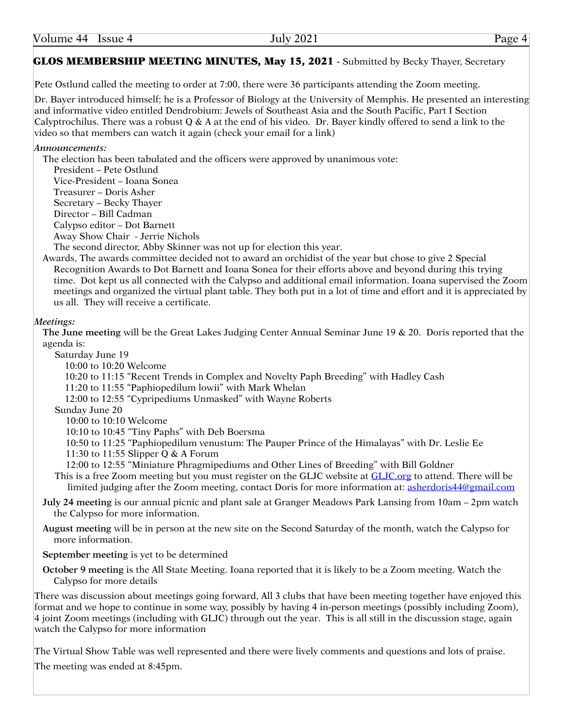| Volume 44 Issue 4 | <b>July 2021</b> | Page 4 |
|-------------------|------------------|--------|
|-------------------|------------------|--------|

# GLOS MEMBERSHIP MEETING MINUTES, May 15, 2021 - Submitted by Becky Thayer, Secretary

Pete Ostlund called the meeting to order at 7:00, there were 36 participants attending the Zoom meeting.

Dr. Bayer introduced himself; he is a Professor of Biology at the University of Memphis. He presented an interesting and informative video entitled Dendrobium: Jewels of Southeast Asia and the South Pacific, Part I Section Calyptrochilus. There was a robust  $Q \& A$  at the end of his video. Dr. Bayer kindly offered to send a link to the video so that members can watch it again (check your email for a link)

### *Announcements:*

The election has been tabulated and the officers were approved by unanimous vote:

President – Pete Ostlund Vice-President – Ioana Sonea Treasurer – Doris Asher Secretary – Becky Thayer Director – Bill Cadman Calypso editor – Dot Barnett Away Show Chair - Jerrie Nichols

The second director, Abby Skinner was not up for election this year.

Awards, The awards committee decided not to award an orchidist of the year but chose to give 2 Special Recognition Awards to Dot Barnett and Ioana Sonea for their efforts above and beyond during this trying time. Dot kept us all connected with the Calypso and additional email information. Ioana supervised the Zoom meetings and organized the virtual plant table. They both put in a lot of time and effort and it is appreciated by us all. They will receive a certificate.

### *Meetings:*

**The June meeting** will be the Great Lakes Judging Center Annual Seminar June 19 & 20. Doris reported that the agenda is:

Saturday June 19

10:00 to 10:20 Welcome

10:20 to 11:15 "Recent Trends in Complex and Novelty Paph Breeding" with Hadley Cash

11:20 to 11:55 "Paphiopedilum lowii" with Mark Whelan

12:00 to 12:55 "Cypripediums Unmasked" with Wayne Roberts

Sunday June 20

10:00 to 10:10 Welcome

10:10 to 10:45 "Tiny Paphs" with Deb Boersma

10:50 to 11:25 "Paphiopedilum venustum: The Pauper Prince of the Himalayas" with Dr. Leslie Ee

11:30 to 11:55 Slipper Q & A Forum

12:00 to 12:55 "Miniature Phragmipediums and Other Lines of Breeding" with Bill Goldner

This is a free Zoom meeting but you must register on the GLJC website at <GLJC.org>to attend. There will be limited judging after the Zoom meeting, contact Doris for more information at: [asherdoris44@gmail.com](mailto:asherdoris44@gmail.com)

**July 24 meeting** is our annual picnic and plant sale at Granger Meadows Park Lansing from 10am – 2pm watch the Calypso for more information.

**August meeting** will be in person at the new site on the Second Saturday of the month, watch the Calypso for more information.

**September meeting** is yet to be determined

**October 9 meeting** is the All State Meeting. Ioana reported that it is likely to be a Zoom meeting. Watch the Calypso for more details

There was discussion about meetings going forward, All 3 clubs that have been meeting together have enjoyed this format and we hope to continue in some way, possibly by having 4 in-person meetings (possibly including Zoom), 4 joint Zoom meetings (including with GLJC) through out the year. This is all still in the discussion stage, again watch the Calypso for more information

The Virtual Show Table was well represented and there were lively comments and questions and lots of praise. The meeting was ended at 8:45pm.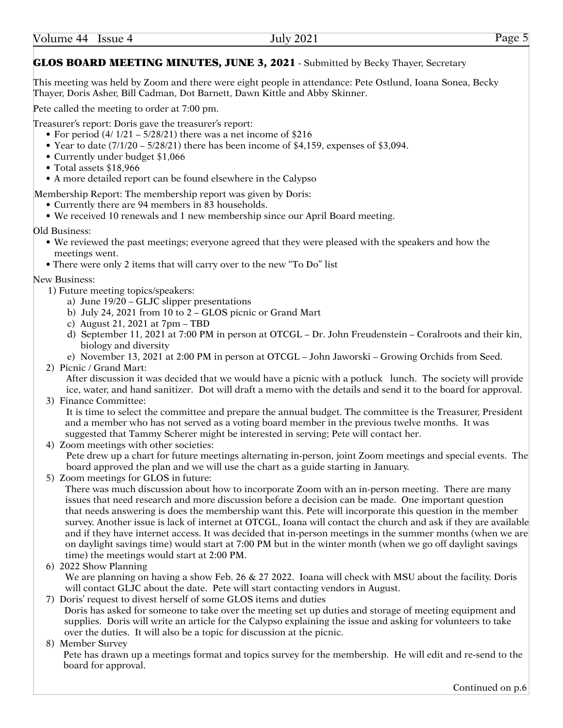Volume 44 Issue 4 **Issue 4 Contract Contract Automobile** July 2021 **Page 5** 

This meeting was held by Zoom and there were eight people in attendance: Pete Ostlund, Ioana Sonea, Becky Thayer, Doris Asher, Bill Cadman, Dot Barnett, Dawn Kittle and Abby Skinner.

Pete called the meeting to order at 7:00 pm.

Treasurer's report: Doris gave the treasurer's report:

- For period  $(4/ 1/21 5/28/21)$  there was a net income of \$216
- Year to date  $(7/1/20 5/28/21)$  there has been income of \$4,159, expenses of \$3,094.
- Currently under budget \$1,066
- Total assets \$18,966
- A more detailed report can be found elsewhere in the Calypso

Membership Report: The membership report was given by Doris:

- • Currently there are 94 members in 83 households.
- We received 10 renewals and 1 new membership since our April Board meeting.

Old Business:

- • We reviewed the past meetings; everyone agreed that they were pleased with the speakers and how the meetings went.
- There were only 2 items that will carry over to the new "To Do" list

New Business:

- 1) Future meeting topics/speakers:
	- a) June 19/20 GLJC slipper presentations
	- b) July 24, 2021 from 10 to 2 GLOS picnic or Grand Mart
	- c) August 21, 2021 at 7pm TBD
	- d) September 11, 2021 at 7:00 PM in person at OTCGL Dr. John Freudenstein Coralroots and their kin, biology and diversity
	- e) November 13, 2021 at 2:00 PM in person at OTCGL John Jaworski Growing Orchids from Seed.

2) Picnic / Grand Mart:

 After discussion it was decided that we would have a picnic with a potluck lunch. The society will provide ice, water, and hand sanitizer. Dot will draft a memo with the details and send it to the board for approval.

3) Finance Committee:

It is time to select the committee and prepare the annual budget. The committee is the Treasurer, President and a member who has not served as a voting board member in the previous twelve months. It was suggested that Tammy Scherer might be interested in serving; Pete will contact her.

- 4) Zoom meetings with other societies: Pete drew up a chart for future meetings alternating in-person, joint Zoom meetings and special events. The board approved the plan and we will use the chart as a guide starting in January.
- 5) Zoom meetings for GLOS in future:

There was much discussion about how to incorporate Zoom with an in-person meeting. There are many issues that need research and more discussion before a decision can be made. One important question that needs answering is does the membership want this. Pete will incorporate this question in the member survey. Another issue is lack of internet at OTCGL, Ioana will contact the church and ask if they are available and if they have internet access. It was decided that in-person meetings in the summer months (when we are on daylight savings time) would start at 7:00 PM but in the winter month (when we go off daylight savings time) the meetings would start at 2:00 PM.

6) 2022 Show Planning

We are planning on having a show Feb. 26 & 27 2022. Ioana will check with MSU about the facility. Doris will contact GLJC about the date. Pete will start contacting vendors in August.

7) Doris' request to divest herself of some GLOS items and duties

Doris has asked for someone to take over the meeting set up duties and storage of meeting equipment and supplies. Doris will write an article for the Calypso explaining the issue and asking for volunteers to take over the duties. It will also be a topic for discussion at the picnic.

8) Member Survey

Pete has drawn up a meetings format and topics survey for the membership. He will edit and re-send to the board for approval.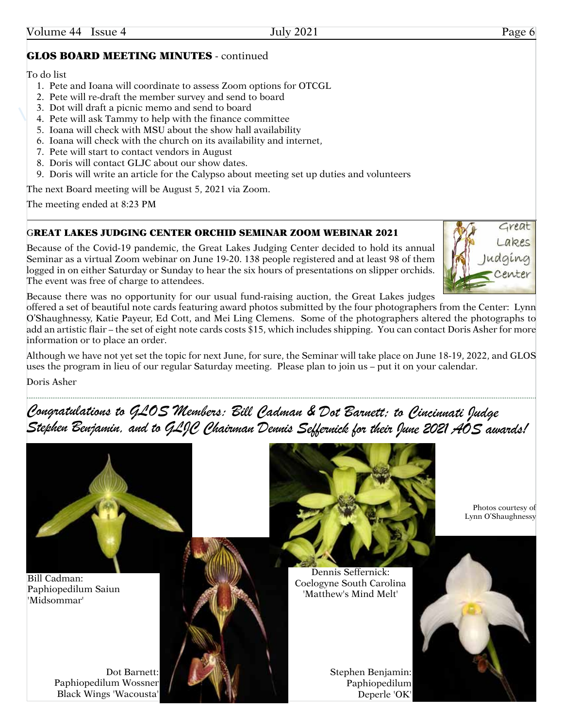# GLOS BOARD MEETING MINUTES - continued

To do list

- 1. Pete and Ioana will coordinate to assess Zoom options for OTCGL
- 2. Pete will re-draft the member survey and send to board
- 3. Dot will draft a picnic memo and send to board
- 4. Pete will ask Tammy to help with the finance committee
- 5. Ioana will check with MSU about the show hall availability
- 6. Ioana will check with the church on its availability and internet,
- 7. Pete will start to contact vendors in August
- 8. Doris will contact GLJC about our show dates.
- 9. Doris will write an article for the Calypso about meeting set up duties and volunteers

The next Board meeting will be August 5, 2021 via Zoom.

The meeting ended at 8:23 PM

# GREAT LAKES JUDGING CENTER ORCHID SEMINAR ZOOM WEBINAR 2021

Because of the Covid-19 pandemic, the Great Lakes Judging Center decided to hold its annual Seminar as a virtual Zoom webinar on June 19-20. 138 people registered and at least 98 of them logged in on either Saturday or Sunday to hear the six hours of presentations on slipper orchids. The event was free of charge to attendees.



Because there was no opportunity for our usual fund-raising auction, the Great Lakes judges

offered a set of beautiful note cards featuring award photos submitted by the four photographers from the Center: Lynn O'Shaughnessy, Katie Payeur, Ed Cott, and Mei Ling Clemens. Some of the photographers altered the photographs to add an artistic flair – the set of eight note cards costs \$15, which includes shipping. You can contact Doris Asher for more information or to place an order.

Although we have not yet set the topic for next June, for sure, the Seminar will take place on June 18-19, 2022, and GLOS uses the program in lieu of our regular Saturday meeting. Please plan to join us – put it on your calendar.

Doris Asher

# *Congratulations to GLOS Members: Bill Cadman & Dot Barnett; to Cincinnati Judge Stephen Benjamin, and to GLJC Chairman Dennis Seffernick for their June 2021 AOS awards!*



Bill Cadman: Paphiopedilum Saiun 'Midsommar'

Dot Barnett: Paphiopedilum Wossner Black Wings 'Wacousta'



Dennis Seffernick: Coelogyne South Carolina 'Matthew's Mind Melt'

> Stephen Benjamin: Paphiopedilum Deperle 'OK'

 Photos courtesy of Lynn O'Shaughnessy

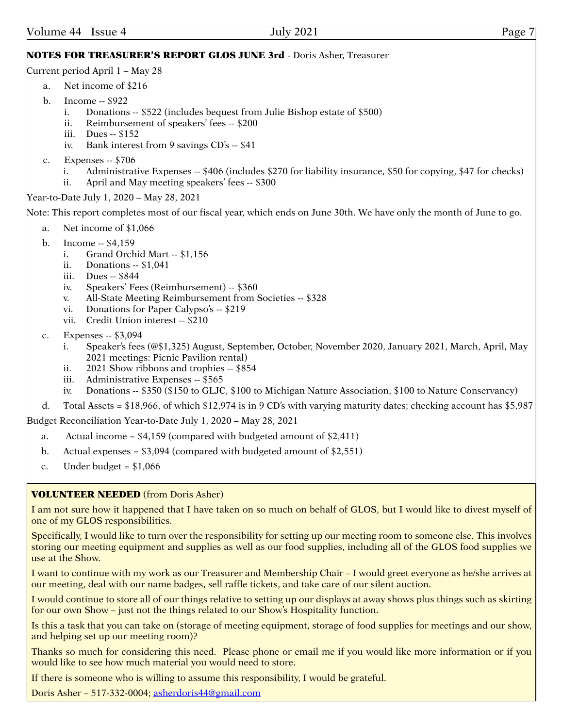### NOTES FOR TREASURER'S REPORT GLOS JUNE 3rd - Doris Asher, Treasurer

Current period April 1 – May 28

- a. Net income of \$216
- b. Income -- \$922
	- i. Donations -- \$522 (includes bequest from Julie Bishop estate of \$500)
	- ii. Reimbursement of speakers' fees -- \$200
	- iii. Dues -- \$152
	- iv. Bank interest from 9 savings CD's -- \$41
- c. Expenses -- \$706
	- i. Administrative Expenses -- \$406 (includes \$270 for liability insurance, \$50 for copying, \$47 for checks)
	- ii. April and May meeting speakers' fees -- \$300

Year-to-Date July 1, 2020 – May 28, 2021

Note: This report completes most of our fiscal year, which ends on June 30th. We have only the month of June to go.

- Net income of \$1,066
- b. Income -- \$4,159
	- i. Grand Orchid Mart -- \$1,156
	- ii. Donations -- \$1,041
	- iii. Dues -- \$844
	- iv. Speakers' Fees (Reimbursement) -- \$360
	- v. All-State Meeting Reimbursement from Societies -- \$328
	- vi. Donations for Paper Calypso's -- \$219
	- vii. Credit Union interest -- \$210
- c. Expenses -- \$3,094
	- i. Speaker's fees (@\$1,325) August, September, October, November 2020, January 2021, March, April, May 2021 meetings: Picnic Pavilion rental)
	- ii. 2021 Show ribbons and trophies -- \$854
	- iii. Administrative Expenses -- \$565
	- iv. Donations -- \$350 (\$150 to GLJC, \$100 to Michigan Nature Association, \$100 to Nature Conservancy)
- d. Total Assets = \$18,966, of which \$12,974 is in 9 CD's with varying maturity dates; checking account has \$5,987

Budget Reconciliation Year-to-Date July 1, 2020 – May 28, 2021

- a. Actual income = \$4,159 (compared with budgeted amount of \$2,411)
- b. Actual expenses =  $$3,094$  (compared with budgeted amount of  $$2,551$ )
- c. Under budget =  $$1,066$

### VOLUNTEER NEEDED (from Doris Asher)

I am not sure how it happened that I have taken on so much on behalf of GLOS, but I would like to divest myself of one of my GLOS responsibilities.

Specifically, I would like to turn over the responsibility for setting up our meeting room to someone else. This involves storing our meeting equipment and supplies as well as our food supplies, including all of the GLOS food supplies we use at the Show.

I want to continue with my work as our Treasurer and Membership Chair – I would greet everyone as he/she arrives at our meeting, deal with our name badges, sell raffle tickets, and take care of our silent auction.

I would continue to store all of our things relative to setting up our displays at away shows plus things such as skirting for our own Show – just not the things related to our Show's Hospitality function.

Is this a task that you can take on (storage of meeting equipment, storage of food supplies for meetings and our show, and helping set up our meeting room)?

Thanks so much for considering this need. Please phone or email me if you would like more information or if you would like to see how much material you would need to store.

If there is someone who is willing to assume this responsibility, I would be grateful.

Doris Asher – 517-332-0004; [asherdoris44@gmail.com](mailto:asherdoris44@gmail.com)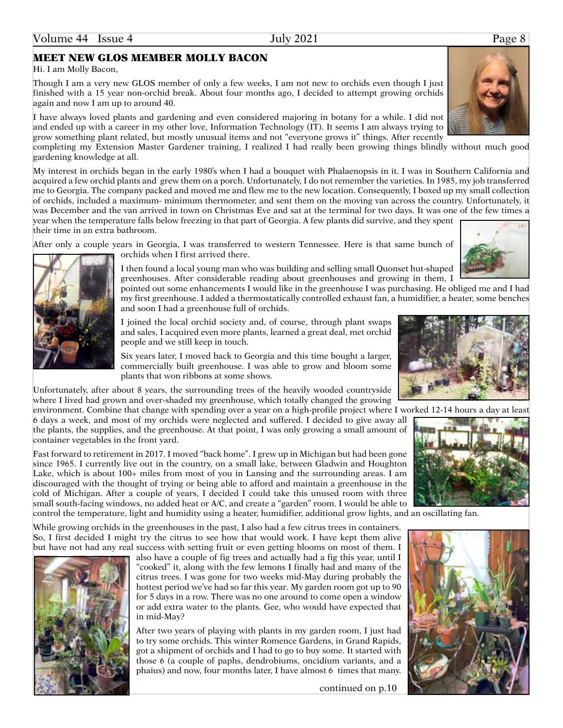### MEET NEW GLOS MEMBER MOLLY BACON

Hi. I am Molly Bacon,

Though I am a very new GLOS member of only a few weeks, I am not new to orchids even though I just finished with a 15 year non-orchid break. About four months ago, I decided to attempt growing orchids again and now I am up to around 40.

I have always loved plants and gardening and even considered majoring in botany for a while. I did not and ended up with a career in my other love, Information Technology (IT). It seems I am always trying to grow something plant related, but mostly unusual items and not "everyone grows it" things. After recently

completing my Extension Master Gardener training, I realized I had really been growing things blindly without much good gardening knowledge at all.

My interest in orchids began in the early 1980's when I had a bouquet with Phalaenopsis in it. I was in Southern California and acquired a few orchid plants and grew them on a porch. Unfortunately, I do not remember the varieties. In 1985, my job transferred me to Georgia. The company packed and moved me and flew me to the new location. Consequently, I boxed up my small collection of orchids, included a maximum- minimum thermometer, and sent them on the moving van across the country. Unfortunately, it was December and the van arrived in town on Christmas Eve and sat at the terminal for two days. It was one of the few times a

year when the temperature falls below freezing in that part of Georgia. A few plants did survive, and they spent their time in an extra bathroom.

After only a couple years in Georgia, I was transferred to western Tennessee. Here is that same bunch of orchids when I first arrived there.

> I then found a local young man who was building and selling small Quonset hut-shaped greenhouses. After considerable reading about greenhouses and growing in them, I

pointed out some enhancements I would like in the greenhouse I was purchasing. He obliged me and I had my first greenhouse. I added a thermostatically controlled exhaust fan, a humidifier, a heater, some benches and soon I had a greenhouse full of orchids.

I joined the local orchid society and, of course, through plant swaps and sales, I acquired even more plants, learned a great deal, met orchid people and we still keep in touch.

Six years later, I moved back to Georgia and this time bought a larger, commercially built greenhouse. I was able to grow and bloom some plants that won ribbons at some shows.

Unfortunately, after about 8 years, the surrounding trees of the heavily wooded countryside where I lived had grown and over-shaded my greenhouse, which totally changed the growing

environment. Combine that change with spending over a year on a high-profile project where I worked 12-14 hours a day at least 6 days a week, and most of my orchids were neglected and suffered. I decided to give away all the plants, the supplies, and the greenhouse. At that point, I was only growing a small amount of container vegetables in the front yard.

Fast forward to retirement in 2017. I moved "back home". I grew up in Michigan but had been gone since 1965. I currently live out in the country, on a small lake, between Gladwin and Houghton Lake, which is about 100+ miles from most of you in Lansing and the surrounding areas. I am discouraged with the thought of trying or being able to afford and maintain a greenhouse in the cold of Michigan. After a couple of years, I decided I could take this unused room with three small south-facing windows, no added heat or A/C, and create a "garden" room. I would be able to control the temperature, light and humidity using a heater, humidifier, additional grow lights, and an oscillating fan.

While growing orchids in the greenhouses in the past, I also had a few citrus trees in containers. So, I first decided I might try the citrus to see how that would work. I have kept them alive but have not had any real success with setting fruit or even getting blooms on most of them. I

> also have a couple of fig trees and actually had a fig this year, until I "cooked" it, along with the few lemons I finally had and many of the citrus trees. I was gone for two weeks mid-May during probably the hottest period we've had so far this year. My garden room got up to 90 for 5 days in a row. There was no one around to come open a window or add extra water to the plants. Gee, who would have expected that in mid-May?

> After two years of playing with plants in my garden room, I just had to try some orchids. This winter Romence Gardens, in Grand Rapids, got a shipment of orchids and I had to go to buy some. It started with those 6 (a couple of paphs, dendrobiums, oncidium variants, and a phaius) and now, four months later, I have almost 6 times that many.

> > continued on p.10











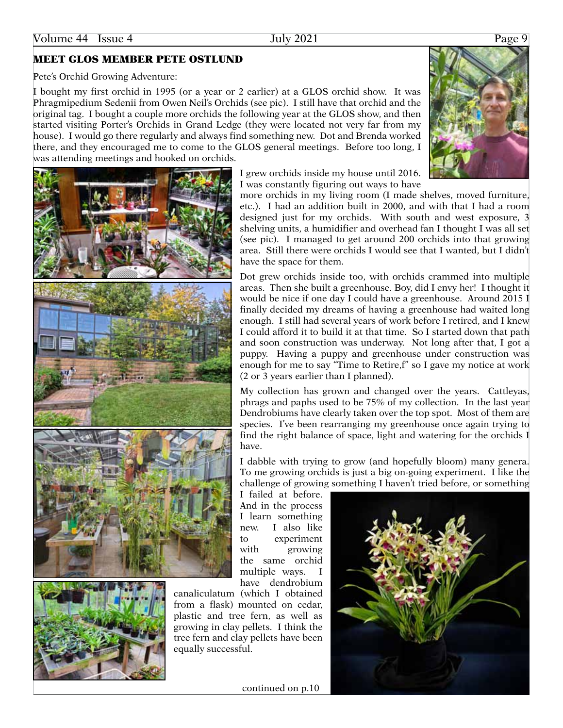# MEET GLOS MEMBER PETE OSTLUND

### Pete's Orchid Growing Adventure:

I bought my first orchid in 1995 (or a year or 2 earlier) at a GLOS orchid show. It was Phragmipedium Sedenii from Owen Neil's Orchids (see pic). I still have that orchid and the original tag. I bought a couple more orchids the following year at the GLOS show, and then started visiting Porter's Orchids in Grand Ledge (they were located not very far from my house). I would go there regularly and always find something new. Dot and Brenda worked there, and they encouraged me to come to the GLOS general meetings. Before too long, I was attending meetings and hooked on orchids.





canaliculatum (which I obtained from a flask) mounted on cedar, plastic and tree fern, as well as growing in clay pellets. I think the tree fern and clay pellets have been equally successful.

continued on p.10



I grew orchids inside my house until 2016. I was constantly figuring out ways to have

more orchids in my living room (I made shelves, moved furniture, etc.). I had an addition built in 2000, and with that I had a room designed just for my orchids. With south and west exposure, 3 shelving units, a humidifier and overhead fan I thought I was all set (see pic). I managed to get around 200 orchids into that growing area. Still there were orchids I would see that I wanted, but I didn't have the space for them.

Dot grew orchids inside too, with orchids crammed into multiple areas. Then she built a greenhouse. Boy, did I envy her! I thought it would be nice if one day I could have a greenhouse. Around 2015 I finally decided my dreams of having a greenhouse had waited long enough. I still had several years of work before I retired, and I knew I could afford it to build it at that time. So I started down that path and soon construction was underway. Not long after that, I got a puppy. Having a puppy and greenhouse under construction was enough for me to say "Time to Retire,f" so I gave my notice at work (2 or 3 years earlier than I planned).

My collection has grown and changed over the years. Cattleyas, phrags and paphs used to be 75% of my collection. In the last year Dendrobiums have clearly taken over the top spot. Most of them are species. I've been rearranging my greenhouse once again trying to find the right balance of space, light and watering for the orchids I have.

I dabble with trying to grow (and hopefully bloom) many genera. To me growing orchids is just a big on-going experiment. I like the challenge of growing something I haven't tried before, or something

I failed at before. And in the process I learn something new. I also like to experiment with growing the same orchid multiple ways. I have dendrobium

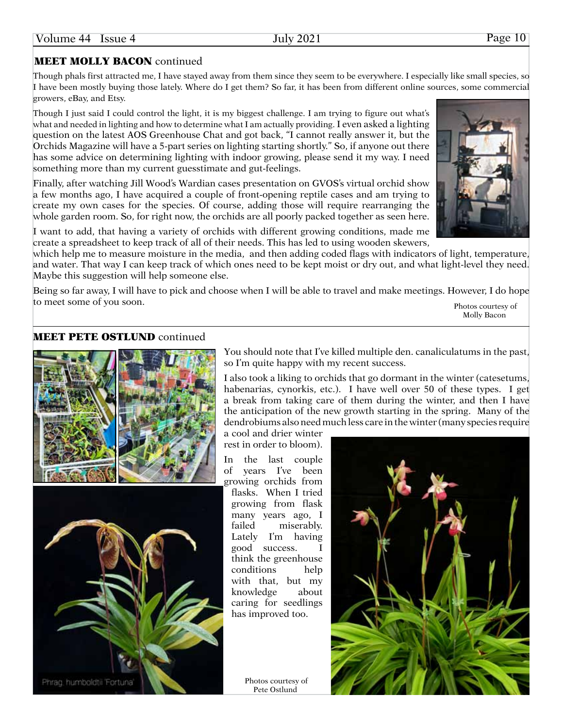# **MEET MOLLY BACON** continued

Though phals first attracted me, I have stayed away from them since they seem to be everywhere. I especially like small species, so I have been mostly buying those lately. Where do I get them? So far, it has been from different online sources, some commercial growers, eBay, and Etsy.

Though I just said I could control the light, it is my biggest challenge. I am trying to figure out what's what and needed in lighting and how to determine what I am actually providing. I even asked a lighting question on the latest AOS Greenhouse Chat and got back, "I cannot really answer it, but the Orchids Magazine will have a 5-part series on lighting starting shortly." So, if anyone out there has some advice on determining lighting with indoor growing, please send it my way. I need something more than my current guesstimate and gut-feelings.

Finally, after watching Jill Wood's Wardian cases presentation on GVOS's virtual orchid show a few months ago, I have acquired a couple of front-opening reptile cases and am trying to create my own cases for the species. Of course, adding those will require rearranging the whole garden room. So, for right now, the orchids are all poorly packed together as seen here.

I want to add, that having a variety of orchids with different growing conditions, made me create a spreadsheet to keep track of all of their needs. This has led to using wooden skewers,

which help me to measure moisture in the media, and then adding coded flags with indicators of light, temperature, and water. That way I can keep track of which ones need to be kept moist or dry out, and what light-level they need. Maybe this suggestion will help someone else.

Being so far away, I will have to pick and choose when I will be able to travel and make meetings. However, I do hope to meet some of you soon. Photos courtesy of

Molly Bacon

# MEET PETE OSTLUND continued





You should note that I've killed multiple den. canaliculatums in the past, so I'm quite happy with my recent success.

I also took a liking to orchids that go dormant in the winter (catesetums, habenarias, cynorkis, etc.). I have well over 50 of these types. I get a break from taking care of them during the winter, and then I have the anticipation of the new growth starting in the spring. Many of the dendrobiums also need much less care in the winter (many species require

a cool and drier winter rest in order to bloom).

In the last couple of years I've been growing orchids from flasks. When I tried growing from flask many years ago, I failed miserably. Lately I'm having good success. I think the greenhouse conditions help with that, but my knowledge about caring for seedlings has improved too.

> Photos courtesy of Pete Ostlund



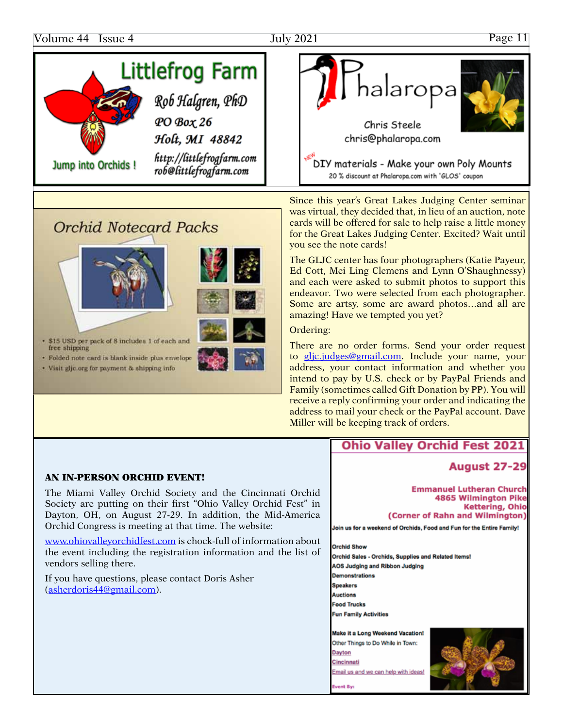

# **Orchid Notecard Packs**





- · \$15 USD per pack of 8 includes 1 of each and free shipping · Folded note card is blank inside plus envelope
- · Visit glic.org for payment & shipping info

Since this year's Great Lakes Judging Center seminar was virtual, they decided that, in lieu of an auction, note cards will be offered for sale to help raise a little money for the Great Lakes Judging Center. Excited? Wait until you see the note cards!

The GLJC center has four photographers (Katie Payeur, Ed Cott, Mei Ling Clemens and Lynn O'Shaughnessy) and each were asked to submit photos to support this endeavor. Two were selected from each photographer. Some are artsy, some are award photos…and all are amazing! Have we tempted you yet?

Ordering:

There are no order forms. Send your order request to [gljc.judges@gmail.com.](mailto:gljc.judges@gmail.com) Include your name, your address, your contact information and whether you intend to pay by U.S. check or by PayPal Friends and Family (sometimes called Gift Donation by PP). You will receive a reply confirming your order and indicating the address to mail your check or the PayPal account. Dave Miller will be keeping track of orders.

#### AN IN-PERSON ORCHID EVENT!

The Miami Valley Orchid Society and the Cincinnati Orchid Society are putting on their first "Ohio Valley Orchid Fest" in Dayton, OH, on August 27-29. In addition, the Mid-America Orchid Congress is meeting at that time. The website:

<www.ohiovalleyorchidfest.com> is chock-full of information about the event including the registration information and the list of vendors selling there.

If you have questions, please contact Doris Asher ([asherdoris44@gmail.com](mailto:asherdoris44@gmail.com)).

# **Ohio Valley Orchid Fest 2021**

### **August 27-29**

**Emmanuel Lutheran Church 4865 Wilmington Pike Kettering, Ohio** (Corner of Rahn and Wilmington)

Join us for a weekend of Orchids, Food and Fun for the Entire Family!

### **Orchid Show**

vent By:

Orchid Sales - Orchids, Supplies and Related Items! **AOS Judging and Ribbon Judging Demonstrations Speakers Auctions Food Trucks Fun Family Activities** 

Make it a Long Weekend Vacation! Other Things to Do While in Town: Dayton Cincinnati Email us and we can help with ideas